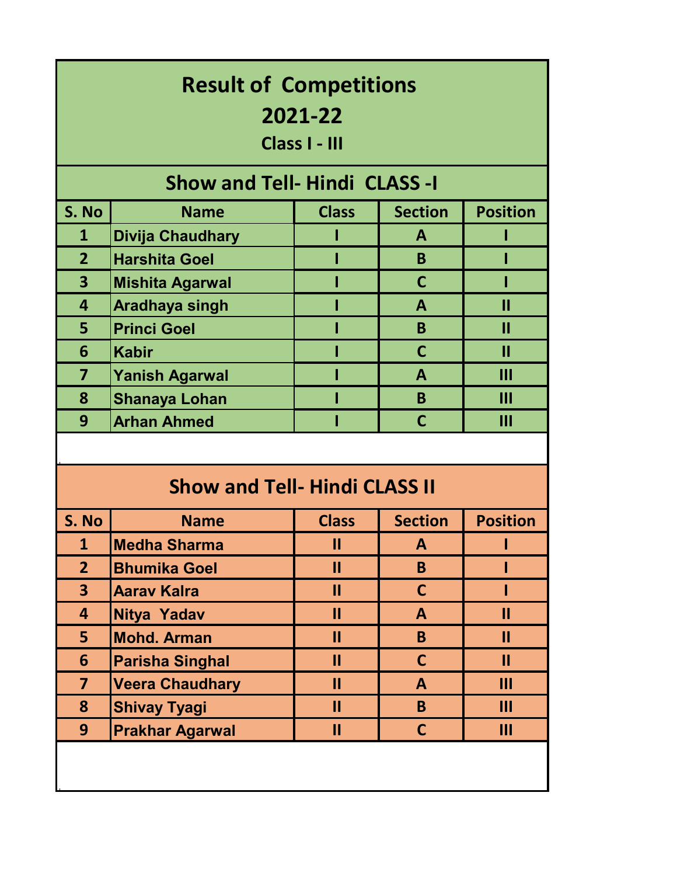| <b>Result of Competitions</b><br>2021-22<br>Class I - III |                        |               |                |                 |  |  |
|-----------------------------------------------------------|------------------------|---------------|----------------|-----------------|--|--|
| <b>Show and Tell- Hindi CLASS -I</b>                      |                        |               |                |                 |  |  |
| S. No                                                     | <b>Name</b>            | <b>Class</b>  | <b>Section</b> | <b>Position</b> |  |  |
| $\mathbf{1}$                                              | Divija Chaudhary       |               | $\mathbf{A}$   |                 |  |  |
| $\overline{2}$                                            | <b>Harshita Goel</b>   |               | B              |                 |  |  |
| 3                                                         | <b>Mishita Agarwal</b> |               | $\mathsf{C}$   |                 |  |  |
| 4                                                         | <b>Aradhaya singh</b>  |               | $\mathbf{A}$   | П               |  |  |
| 5                                                         | <b>Princi Goel</b>     |               | B              | П               |  |  |
| 6                                                         | <b>Kabir</b>           |               | $\mathsf{C}$   | $\mathbf{I}$    |  |  |
| $\overline{7}$                                            | <b>Yanish Agarwal</b>  |               | $\mathbf{A}$   | Ш               |  |  |
| 8                                                         | <b>Shanaya Lohan</b>   |               | B              | $\mathbf{III}$  |  |  |
| 9                                                         | <b>Arhan Ahmed</b>     |               | $\mathsf{C}$   | Ш               |  |  |
|                                                           |                        |               |                |                 |  |  |
| <b>Show and Tell- Hindi CLASS II</b>                      |                        |               |                |                 |  |  |
| S. No                                                     | <b>Name</b>            | <b>Class</b>  | <b>Section</b> | <b>Position</b> |  |  |
| $\mathbf{1}$                                              | <b>Medha Sharma</b>    | $\mathbf{I}$  | A              |                 |  |  |
| $\overline{2}$                                            | <b>Bhumika Goel</b>    | $\mathbf{II}$ | B              |                 |  |  |
| $\overline{\mathbf{3}}$                                   | <b>Aarav Kalra</b>     | $\mathbf{II}$ | $\mathsf{C}$   |                 |  |  |
| 4                                                         | <b>Nitya Yadav</b>     | $\mathbf{II}$ | $\mathbf{A}$   | $\mathbf{II}$   |  |  |
| 5                                                         | <b>Mohd. Arman</b>     | $\mathbf{II}$ | B.             | $\mathbf{II}$   |  |  |
| 6                                                         | <b>Parisha Singhal</b> | $\mathbf{II}$ | $\mathsf{C}$   | $\mathbf{II}$   |  |  |

**Veera Chaudhary II A III**

**8 Shivay Tyagi II II B III**<br> **9 Prakhar Agarwal II C III Prakhar Agarwal II C III**